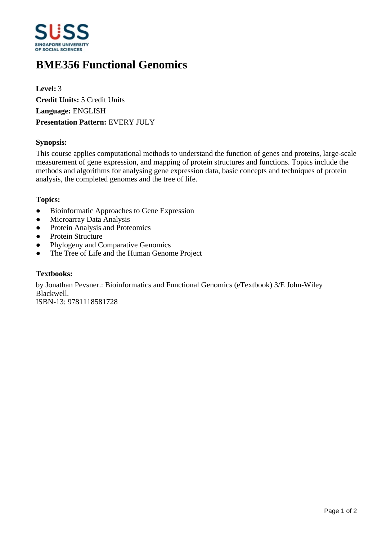

# **BME356 Functional Genomics**

**Level:** 3 **Credit Units:** 5 Credit Units **Language:** ENGLISH **Presentation Pattern:** EVERY JULY

### **Synopsis:**

This course applies computational methods to understand the function of genes and proteins, large-scale measurement of gene expression, and mapping of protein structures and functions. Topics include the methods and algorithms for analysing gene expression data, basic concepts and techniques of protein analysis, the completed genomes and the tree of life.

#### **Topics:**

- Bioinformatic Approaches to Gene Expression
- Microarray Data Analysis
- Protein Analysis and Proteomics
- Protein Structure
- Phylogeny and Comparative Genomics
- The Tree of Life and the Human Genome Project

#### **Textbooks:**

by Jonathan Pevsner.: Bioinformatics and Functional Genomics (eTextbook) 3/E John-Wiley Blackwell. ISBN-13: 9781118581728